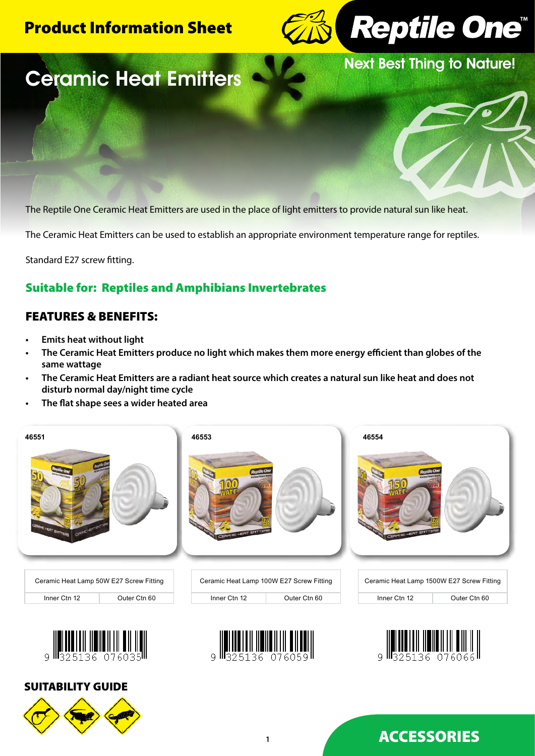# Product Information Sheet



Next Best Thing to Nature!

# Ceramic Heat Emitters

The Reptile One Ceramic Heat Emitters are used in the place of light emitters to provide natural sun like heat.

The Ceramic Heat Emitters can be used to establish an appropriate environment temperature range for reptiles.

Standard E27 screw fitting.

# Suitable for: Reptiles and Amphibians Invertebrates

## FEATURES & BENEFITS:

- **• Emits heat without light**
- **• The Ceramic Heat Emitters produce no light which makes them more energy efficient than globes of the same wattage**
- **• The Ceramic Heat Emitters are a radiant heat source which creates a natural sun like heat and does not disturb normal day/night time cycle**
- **• The flat shape sees a wider heated area**













# ACCESSORIES